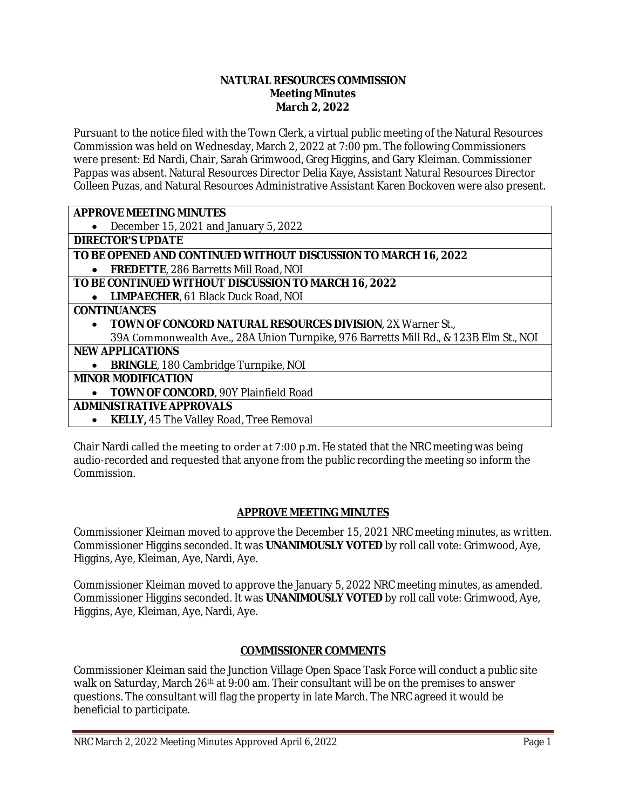#### **NATURAL RESOURCES COMMISSION Meeting Minutes March 2, 2022**

Pursuant to the notice filed with the Town Clerk, a virtual public meeting of the Natural Resources Commission was held on Wednesday, March 2, 2022 at 7:00 pm. The following Commissioners were present: Ed Nardi, Chair, Sarah Grimwood, Greg Higgins, and Gary Kleiman. Commissioner Pappas was absent. Natural Resources Director Delia Kaye, Assistant Natural Resources Director Colleen Puzas, and Natural Resources Administrative Assistant Karen Bockoven were also present.

## **APPROVE MEETING MINUTES**

December 15, 2021 and January 5, 2022

**DIRECTOR'S UPDATE**

#### **TO BE OPENED AND CONTINUED WITHOUT DISCUSSION TO MARCH 16, 2022 FREDETTE**, 286 Barretts Mill Road, NOI

# **TO BE CONTINUED WITHOUT DISCUSSION TO MARCH 16, 2022**

**LIMPAECHER**, 61 Black Duck Road, NOI

## **CONTINUANCES**

 **TOWN OF CONCORD NATURAL RESOURCES DIVISION**, 2X Warner St., 39A Commonwealth Ave., 28A Union Turnpike, 976 Barretts Mill Rd., & 123B Elm St., NOI

# **NEW APPLICATIONS**

**• BRINGLE**, 180 Cambridge Turnpike, NOI

# **MINOR MODIFICATION**

**• TOWN OF CONCORD**, 90Y Plainfield Road

# **ADMINISTRATIVE APPROVALS**

**KELLY,** 45 The Valley Road, Tree Removal

Chair Nardi called the meeting to order at 7:00 p.m. He stated that the NRC meeting was being audio-recorded and requested that anyone from the public recording the meeting so inform the Commission.

# **APPROVE MEETING MINUTES**

Commissioner Kleiman moved to approve the December 15, 2021 NRC meeting minutes, as written. Commissioner Higgins seconded. It was **UNANIMOUSLY VOTED** by roll call vote: Grimwood, Aye, Higgins, Aye, Kleiman, Aye, Nardi, Aye.

Commissioner Kleiman moved to approve the January 5, 2022 NRC meeting minutes, as amended. Commissioner Higgins seconded. It was **UNANIMOUSLY VOTED** by roll call vote: Grimwood, Aye, Higgins, Aye, Kleiman, Aye, Nardi, Aye.

# **COMMISSIONER COMMENTS**

Commissioner Kleiman said the Junction Village Open Space Task Force will conduct a public site walk on Saturday, March 26<sup>th</sup> at 9:00 am. Their consultant will be on the premises to answer questions. The consultant will flag the property in late March. The NRC agreed it would be beneficial to participate.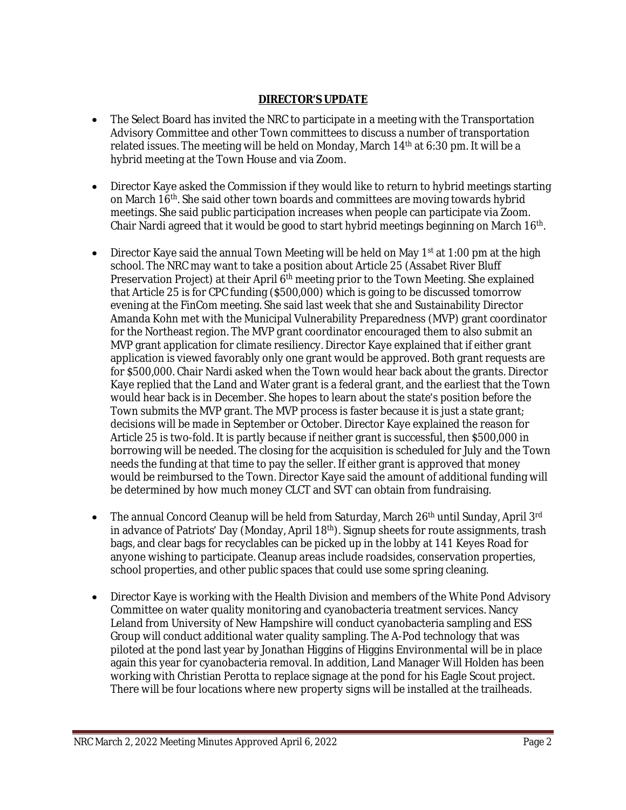# **DIRECTOR'S UPDATE**

- The Select Board has invited the NRC to participate in a meeting with the Transportation Advisory Committee and other Town committees to discuss a number of transportation related issues. The meeting will be held on Monday, March 14<sup>th</sup> at 6:30 pm. It will be a hybrid meeting at the Town House and via Zoom.
- Director Kaye asked the Commission if they would like to return to hybrid meetings starting on March 16<sup>th</sup>. She said other town boards and committees are moving towards hybrid meetings. She said public participation increases when people can participate via Zoom. Chair Nardi agreed that it would be good to start hybrid meetings beginning on March 16<sup>th</sup>.
- Director Kaye said the annual Town Meeting will be held on May 1st at 1:00 pm at the high school. The NRC may want to take a position about Article 25 (Assabet River Bluff Preservation Project) at their April 6<sup>th</sup> meeting prior to the Town Meeting. She explained that Article 25 is for CPC funding (\$500,000) which is going to be discussed tomorrow evening at the FinCom meeting. She said last week that she and Sustainability Director Amanda Kohn met with the Municipal Vulnerability Preparedness (MVP) grant coordinator for the Northeast region. The MVP grant coordinator encouraged them to also submit an MVP grant application for climate resiliency. Director Kaye explained that if either grant application is viewed favorably only one grant would be approved. Both grant requests are for \$500,000. Chair Nardi asked when the Town would hear back about the grants. Director Kaye replied that the Land and Water grant is a federal grant, and the earliest that the Town would hear back is in December. She hopes to learn about the state's position before the Town submits the MVP grant. The MVP process is faster because it is just a state grant; decisions will be made in September or October. Director Kaye explained the reason for Article 25 is two-fold. It is partly because if neither grant is successful, then \$500,000 in borrowing will be needed. The closing for the acquisition is scheduled for July and the Town needs the funding at that time to pay the seller. If either grant is approved that money would be reimbursed to the Town. Director Kaye said the amount of additional funding will be determined by how much money CLCT and SVT can obtain from fundraising.
- The annual Concord Cleanup will be held from Saturday, March 26<sup>th</sup> until Sunday, April 3<sup>rd</sup> in advance of Patriots' Day (Monday, April 18<sup>th</sup>). Signup sheets for route assignments, trash bags, and clear bags for recyclables can be picked up in the lobby at 141 Keyes Road for anyone wishing to participate. Cleanup areas include roadsides, conservation properties, school properties, and other public spaces that could use some spring cleaning.
- Director Kaye is working with the Health Division and members of the White Pond Advisory Committee on water quality monitoring and cyanobacteria treatment services. Nancy Leland from University of New Hampshire will conduct cyanobacteria sampling and ESS Group will conduct additional water quality sampling. The A-Pod technology that was piloted at the pond last year by Jonathan Higgins of Higgins Environmental will be in place again this year for cyanobacteria removal. In addition, Land Manager Will Holden has been working with Christian Perotta to replace signage at the pond for his Eagle Scout project. There will be four locations where new property signs will be installed at the trailheads.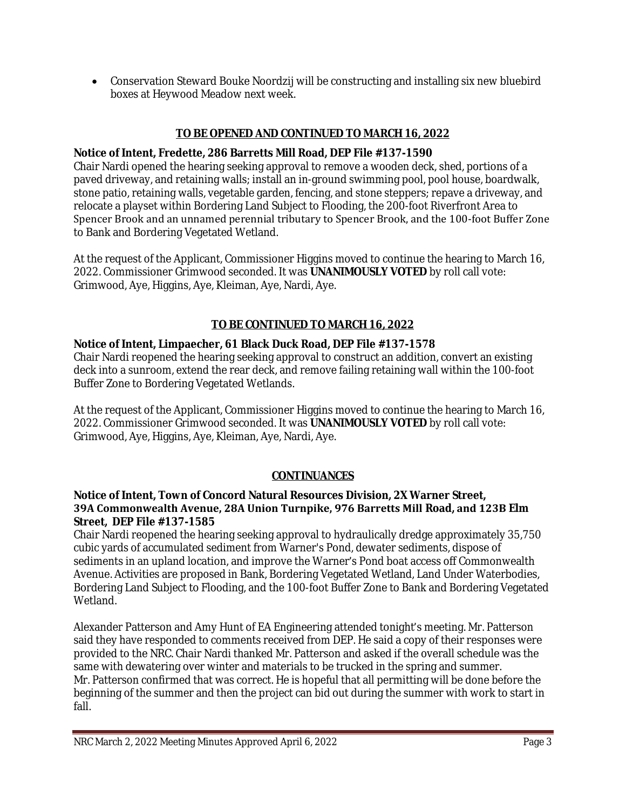Conservation Steward Bouke Noordzij will be constructing and installing six new bluebird boxes at Heywood Meadow next week.

## **TO BE OPENED AND CONTINUED TO MARCH 16, 2022**

#### **Notice of Intent, Fredette, 286 Barretts Mill Road, DEP File #137-1590**

Chair Nardi opened the hearing seeking approval to remove a wooden deck, shed, portions of a paved driveway, and retaining walls; install an in-ground swimming pool, pool house, boardwalk, stone patio, retaining walls, vegetable garden, fencing, and stone steppers; repave a driveway, and relocate a playset within Bordering Land Subject to Flooding, the 200-foot Riverfront Area to Spencer Brook and an unnamed perennial tributary to Spencer Brook, and the 100-foot Buffer Zone to Bank and Bordering Vegetated Wetland.

At the request of the Applicant, Commissioner Higgins moved to continue the hearing to March 16, 2022. Commissioner Grimwood seconded. It was **UNANIMOUSLY VOTED** by roll call vote: Grimwood, Aye, Higgins, Aye, Kleiman, Aye, Nardi, Aye.

## **TO BE CONTINUED TO MARCH 16, 2022**

#### **Notice of Intent, Limpaecher, 61 Black Duck Road, DEP File #137-1578**

Chair Nardi reopened the hearing seeking approval to construct an addition, convert an existing deck into a sunroom, extend the rear deck, and remove failing retaining wall within the 100-foot Buffer Zone to Bordering Vegetated Wetlands.

At the request of the Applicant, Commissioner Higgins moved to continue the hearing to March 16, 2022. Commissioner Grimwood seconded. It was **UNANIMOUSLY VOTED** by roll call vote: Grimwood, Aye, Higgins, Aye, Kleiman, Aye, Nardi, Aye.

#### **CONTINUANCES**

#### **Notice of Intent, Town of Concord Natural Resources Division, 2X Warner Street, 39A Commonwealth Avenue, 28A Union Turnpike, 976 Barretts Mill Road, and 123B Elm Street, DEP File #137-1585**

Chair Nardi reopened the hearing seeking approval to hydraulically dredge approximately 35,750 cubic yards of accumulated sediment from Warner's Pond, dewater sediments, dispose of sediments in an upland location, and improve the Warner's Pond boat access off Commonwealth Avenue. Activities are proposed in Bank, Bordering Vegetated Wetland, Land Under Waterbodies, Bordering Land Subject to Flooding, and the 100-foot Buffer Zone to Bank and Bordering Vegetated Wetland.

Alexander Patterson and Amy Hunt of EA Engineering attended tonight's meeting. Mr. Patterson said they have responded to comments received from DEP. He said a copy of their responses were provided to the NRC. Chair Nardi thanked Mr. Patterson and asked if the overall schedule was the same with dewatering over winter and materials to be trucked in the spring and summer. Mr. Patterson confirmed that was correct. He is hopeful that all permitting will be done before the beginning of the summer and then the project can bid out during the summer with work to start in fall.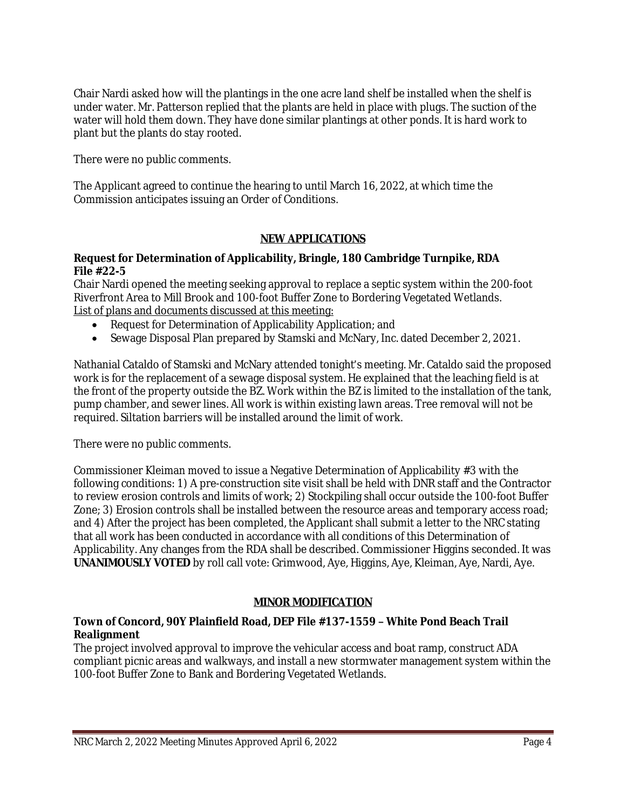Chair Nardi asked how will the plantings in the one acre land shelf be installed when the shelf is under water. Mr. Patterson replied that the plants are held in place with plugs. The suction of the water will hold them down. They have done similar plantings at other ponds. It is hard work to plant but the plants do stay rooted.

There were no public comments.

The Applicant agreed to continue the hearing to until March 16, 2022, at which time the Commission anticipates issuing an Order of Conditions.

## **NEW APPLICATIONS**

## **Request for Determination of Applicability, Bringle, 180 Cambridge Turnpike, RDA File #22-5**

Chair Nardi opened the meeting seeking approval to replace a septic system within the 200-foot Riverfront Area to Mill Brook and 100-foot Buffer Zone to Bordering Vegetated Wetlands. List of plans and documents discussed at this meeting:

- Request for Determination of Applicability Application; and
- Sewage Disposal Plan prepared by Stamski and McNary, Inc. dated December 2, 2021.

Nathanial Cataldo of Stamski and McNary attended tonight's meeting. Mr. Cataldo said the proposed work is for the replacement of a sewage disposal system. He explained that the leaching field is at the front of the property outside the BZ. Work within the BZ is limited to the installation of the tank, pump chamber, and sewer lines. All work is within existing lawn areas. Tree removal will not be required. Siltation barriers will be installed around the limit of work.

There were no public comments.

Commissioner Kleiman moved to issue a Negative Determination of Applicability #3 with the following conditions: 1) A pre-construction site visit shall be held with DNR staff and the Contractor to review erosion controls and limits of work; 2) Stockpiling shall occur outside the 100-foot Buffer Zone; 3) Erosion controls shall be installed between the resource areas and temporary access road; and 4) After the project has been completed, the Applicant shall submit a letter to the NRC stating that all work has been conducted in accordance with all conditions of this Determination of Applicability. Any changes from the RDA shall be described. Commissioner Higgins seconded. It was **UNANIMOUSLY VOTED** by roll call vote: Grimwood, Aye, Higgins, Aye, Kleiman, Aye, Nardi, Aye.

# **MINOR MODIFICATION**

# **Town of Concord, 90Y Plainfield Road, DEP File #137-1559 – White Pond Beach Trail Realignment**

The project involved approval to improve the vehicular access and boat ramp, construct ADA compliant picnic areas and walkways, and install a new stormwater management system within the 100-foot Buffer Zone to Bank and Bordering Vegetated Wetlands.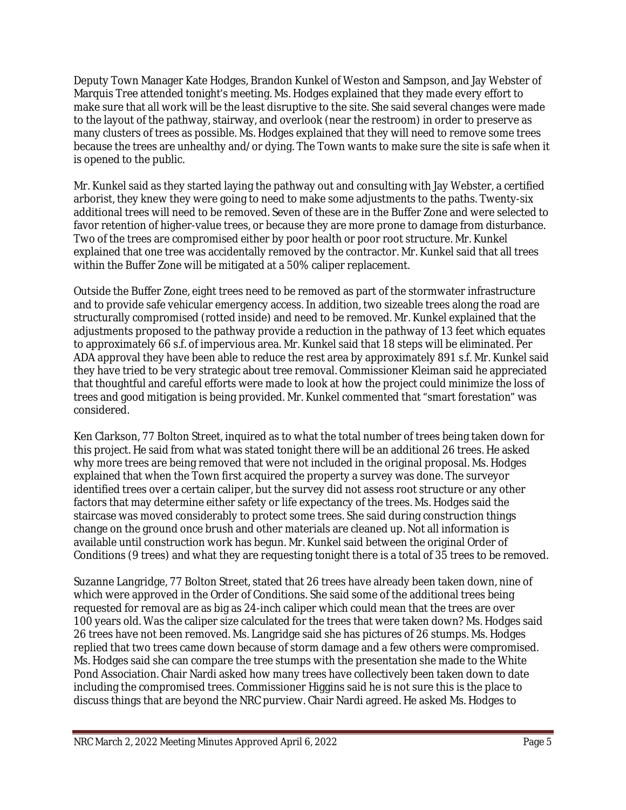Deputy Town Manager Kate Hodges, Brandon Kunkel of Weston and Sampson, and Jay Webster of Marquis Tree attended tonight's meeting. Ms. Hodges explained that they made every effort to make sure that all work will be the least disruptive to the site. She said several changes were made to the layout of the pathway, stairway, and overlook (near the restroom) in order to preserve as many clusters of trees as possible. Ms. Hodges explained that they will need to remove some trees because the trees are unhealthy and/or dying. The Town wants to make sure the site is safe when it is opened to the public.

Mr. Kunkel said as they started laying the pathway out and consulting with Jay Webster, a certified arborist, they knew they were going to need to make some adjustments to the paths. Twenty-six additional trees will need to be removed. Seven of these are in the Buffer Zone and were selected to favor retention of higher-value trees, or because they are more prone to damage from disturbance. Two of the trees are compromised either by poor health or poor root structure. Mr. Kunkel explained that one tree was accidentally removed by the contractor. Mr. Kunkel said that all trees within the Buffer Zone will be mitigated at a 50% caliper replacement.

Outside the Buffer Zone, eight trees need to be removed as part of the stormwater infrastructure and to provide safe vehicular emergency access. In addition, two sizeable trees along the road are structurally compromised (rotted inside) and need to be removed. Mr. Kunkel explained that the adjustments proposed to the pathway provide a reduction in the pathway of 13 feet which equates to approximately 66 s.f. of impervious area. Mr. Kunkel said that 18 steps will be eliminated. Per ADA approval they have been able to reduce the rest area by approximately 891 s.f. Mr. Kunkel said they have tried to be very strategic about tree removal. Commissioner Kleiman said he appreciated that thoughtful and careful efforts were made to look at how the project could minimize the loss of trees and good mitigation is being provided. Mr. Kunkel commented that "smart forestation" was considered.

Ken Clarkson, 77 Bolton Street, inquired as to what the total number of trees being taken down for this project. He said from what was stated tonight there will be an additional 26 trees. He asked why more trees are being removed that were not included in the original proposal. Ms. Hodges explained that when the Town first acquired the property a survey was done. The surveyor identified trees over a certain caliper, but the survey did not assess root structure or any other factors that may determine either safety or life expectancy of the trees. Ms. Hodges said the staircase was moved considerably to protect some trees. She said during construction things change on the ground once brush and other materials are cleaned up. Not all information is available until construction work has begun. Mr. Kunkel said between the original Order of Conditions (9 trees) and what they are requesting tonight there is a total of 35 trees to be removed.

Suzanne Langridge, 77 Bolton Street, stated that 26 trees have already been taken down, nine of which were approved in the Order of Conditions. She said some of the additional trees being requested for removal are as big as 24-inch caliper which could mean that the trees are over 100 years old. Was the caliper size calculated for the trees that were taken down? Ms. Hodges said 26 trees have not been removed. Ms. Langridge said she has pictures of 26 stumps. Ms. Hodges replied that two trees came down because of storm damage and a few others were compromised. Ms. Hodges said she can compare the tree stumps with the presentation she made to the White Pond Association. Chair Nardi asked how many trees have collectively been taken down to date including the compromised trees. Commissioner Higgins said he is not sure this is the place to discuss things that are beyond the NRC purview. Chair Nardi agreed. He asked Ms. Hodges to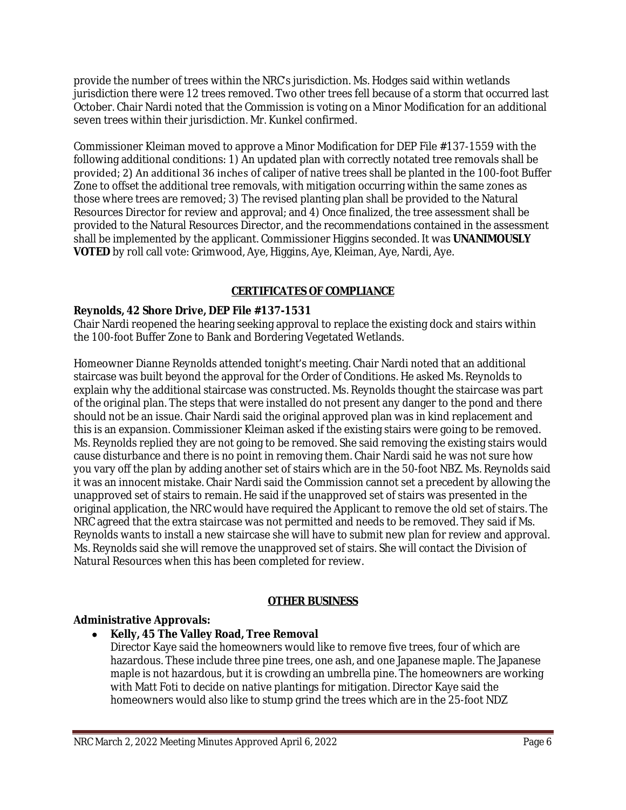provide the number of trees within the NRC's jurisdiction. Ms. Hodges said within wetlands jurisdiction there were 12 trees removed. Two other trees fell because of a storm that occurred last October. Chair Nardi noted that the Commission is voting on a Minor Modification for an additional seven trees within their jurisdiction. Mr. Kunkel confirmed.

Commissioner Kleiman moved to approve a Minor Modification for DEP File #137-1559 with the following additional conditions: 1) An updated plan with correctly notated tree removals shall be provided; 2) An additional 36 inches of caliper of native trees shall be planted in the 100-foot Buffer Zone to offset the additional tree removals, with mitigation occurring within the same zones as those where trees are removed; 3) The revised planting plan shall be provided to the Natural Resources Director for review and approval; and 4) Once finalized, the tree assessment shall be provided to the Natural Resources Director, and the recommendations contained in the assessment shall be implemented by the applicant. Commissioner Higgins seconded. It was **UNANIMOUSLY VOTED** by roll call vote: Grimwood, Aye, Higgins, Aye, Kleiman, Aye, Nardi, Aye.

## **CERTIFICATES OF COMPLIANCE**

#### **Reynolds, 42 Shore Drive, DEP File #137-1531**

Chair Nardi reopened the hearing seeking approval to replace the existing dock and stairs within the 100-foot Buffer Zone to Bank and Bordering Vegetated Wetlands.

Homeowner Dianne Reynolds attended tonight's meeting. Chair Nardi noted that an additional staircase was built beyond the approval for the Order of Conditions. He asked Ms. Reynolds to explain why the additional staircase was constructed. Ms. Reynolds thought the staircase was part of the original plan. The steps that were installed do not present any danger to the pond and there should not be an issue. Chair Nardi said the original approved plan was in kind replacement and this is an expansion. Commissioner Kleiman asked if the existing stairs were going to be removed. Ms. Reynolds replied they are not going to be removed. She said removing the existing stairs would cause disturbance and there is no point in removing them. Chair Nardi said he was not sure how you vary off the plan by adding another set of stairs which are in the 50-foot NBZ. Ms. Reynolds said it was an innocent mistake. Chair Nardi said the Commission cannot set a precedent by allowing the unapproved set of stairs to remain. He said if the unapproved set of stairs was presented in the original application, the NRC would have required the Applicant to remove the old set of stairs. The NRC agreed that the extra staircase was not permitted and needs to be removed. They said if Ms. Reynolds wants to install a new staircase she will have to submit new plan for review and approval. Ms. Reynolds said she will remove the unapproved set of stairs. She will contact the Division of Natural Resources when this has been completed for review.

#### **OTHER BUSINESS**

#### **Administrative Approvals:**

#### **Kelly, 45 The Valley Road, Tree Removal**

Director Kaye said the homeowners would like to remove five trees, four of which are hazardous. These include three pine trees, one ash, and one Japanese maple. The Japanese maple is not hazardous, but it is crowding an umbrella pine. The homeowners are working with Matt Foti to decide on native plantings for mitigation. Director Kaye said the homeowners would also like to stump grind the trees which are in the 25-foot NDZ